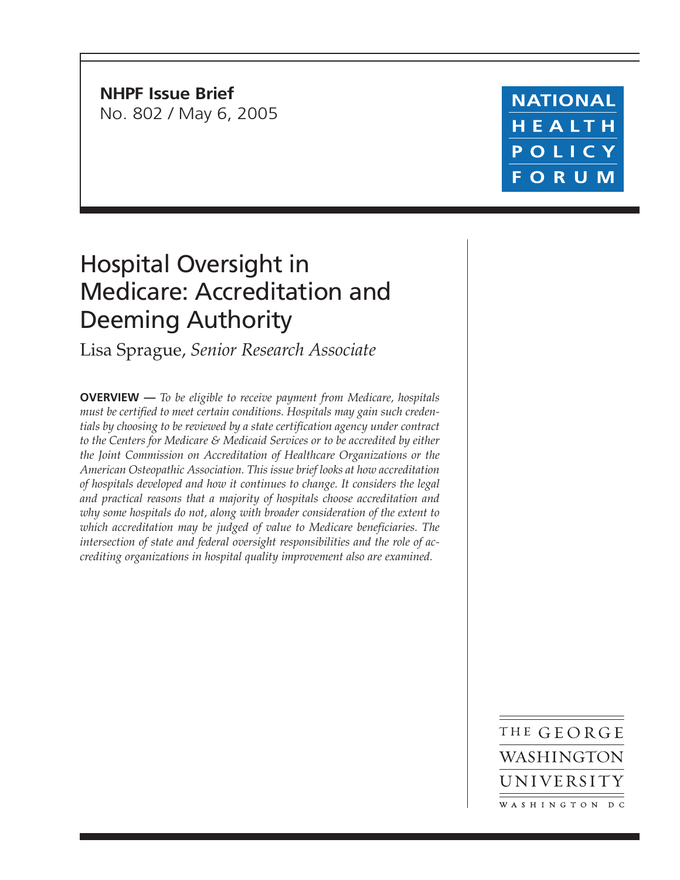**NHPF Issue Brief** No. 802 / May 6, 2005

## **NATIONAL** HEALTH POLICY **FORUM**

# Hospital Oversight in Medicare: Accreditation and Deeming Authority

Lisa Sprague, *Senior Research Associate*

**OVERVIEW —** *To be eligible to receive payment from Medicare, hospitals must be certified to meet certain conditions. Hospitals may gain such credentials by choosing to be reviewed by a state certification agency under contract to the Centers for Medicare & Medicaid Services or to be accredited by either the Joint Commission on Accreditation of Healthcare Organizations or the American Osteopathic Association. This issue brief looks at how accreditation of hospitals developed and how it continues to change. It considers the legal and practical reasons that a majority of hospitals choose accreditation and why some hospitals do not, along with broader consideration of the extent to which accreditation may be judged of value to Medicare beneficiaries. The intersection of state and federal oversight responsibilities and the role of accrediting organizations in hospital quality improvement also are examined.*

> THE GEORGE WASHINGTON UNIVERSITY WASHINGTON DC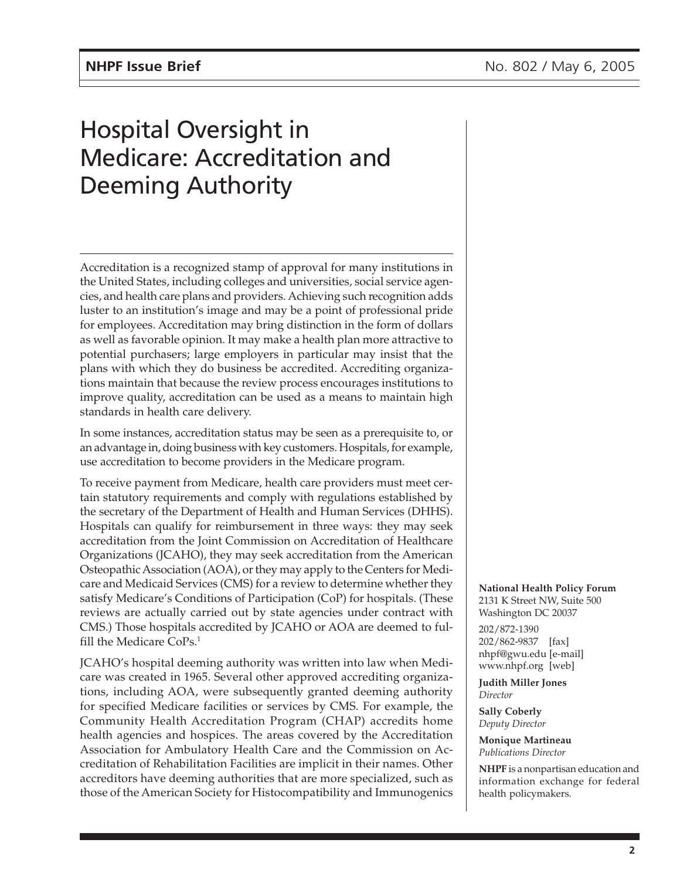# Hospital Oversight in Medicare: Accreditation and Deeming Authority

Accreditation is a recognized stamp of approval for many institutions in the United States, including colleges and universities, social service agencies, and health care plans and providers. Achieving such recognition adds luster to an institution's image and may be a point of professional pride for employees. Accreditation may bring distinction in the form of dollars as well as favorable opinion. It may make a health plan more attractive to potential purchasers; large employers in particular may insist that the plans with which they do business be accredited. Accrediting organizations maintain that because the review process encourages institutions to improve quality, accreditation can be used as a means to maintain high standards in health care delivery.

In some instances, accreditation status may be seen as a prerequisite to, or an advantage in, doing business with key customers. Hospitals, for example, use accreditation to become providers in the Medicare program.

To receive payment from Medicare, health care providers must meet certain statutory requirements and comply with regulations established by the secretary of the Department of Health and Human Services (DHHS). Hospitals can qualify for reimbursement in three ways: they may seek accreditation from the Joint Commission on Accreditation of Healthcare Organizations (JCAHO), they may seek accreditation from the American Osteopathic Association (AOA), or they may apply to the Centers for Medicare and Medicaid Services (CMS) for a review to determine whether they satisfy Medicare's Conditions of Participation (CoP) for hospitals. (These reviews are actually carried out by state agencies under contract with CMS.) Those hospitals accredited by JCAHO or AOA are deemed to fulfill the Medicare CoPs.1

JCAHO's hospital deeming authority was written into law when Medicare was created in 1965. Several other approved accrediting organizations, including AOA, were subsequently granted deeming authority for specified Medicare facilities or services by CMS. For example, the Community Health Accreditation Program (CHAP) accredits home health agencies and hospices. The areas covered by the Accreditation Association for Ambulatory Health Care and the Commission on Accreditation of Rehabilitation Facilities are implicit in their names. Other accreditors have deeming authorities that are more specialized, such as those of the American Society for Histocompatibility and Immunogenics **National Health Policy Forum** 2131 K Street NW, Suite 500 Washington DC 20037

202/872-1390 202/862-9837 [fax] nhpf@gwu.edu [e-mail] www.nhpf.org [web]

**Judith Miller Jones** *Director*

**Sally Coberly** *Deputy Director*

**Monique Martineau** *Publications Director*

**NHPF** is a nonpartisan education and information exchange for federal health policymakers.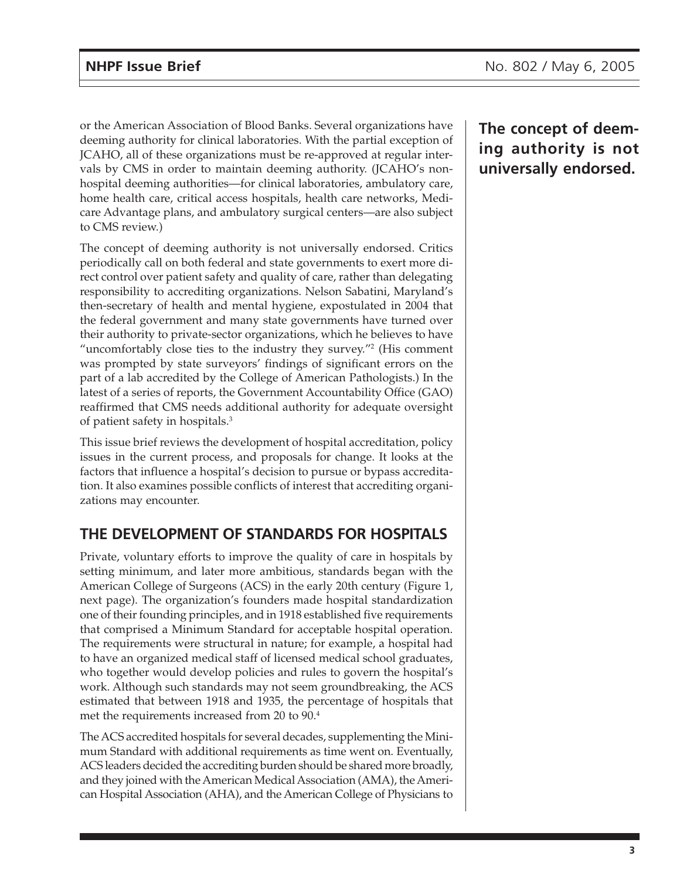or the American Association of Blood Banks. Several organizations have deeming authority for clinical laboratories. With the partial exception of JCAHO, all of these organizations must be re-approved at regular intervals by CMS in order to maintain deeming authority. (JCAHO's nonhospital deeming authorities—for clinical laboratories, ambulatory care, home health care, critical access hospitals, health care networks, Medicare Advantage plans, and ambulatory surgical centers—are also subject to CMS review.)

The concept of deeming authority is not universally endorsed. Critics periodically call on both federal and state governments to exert more direct control over patient safety and quality of care, rather than delegating responsibility to accrediting organizations. Nelson Sabatini, Maryland's then-secretary of health and mental hygiene, expostulated in 2004 that the federal government and many state governments have turned over their authority to private-sector organizations, which he believes to have "uncomfortably close ties to the industry they survey."2 (His comment was prompted by state surveyors' findings of significant errors on the part of a lab accredited by the College of American Pathologists.) In the latest of a series of reports, the Government Accountability Office (GAO) reaffirmed that CMS needs additional authority for adequate oversight of patient safety in hospitals.3

This issue brief reviews the development of hospital accreditation, policy issues in the current process, and proposals for change. It looks at the factors that influence a hospital's decision to pursue or bypass accreditation. It also examines possible conflicts of interest that accrediting organizations may encounter.

### **THE DEVELOPMENT OF STANDARDS FOR HOSPITALS**

Private, voluntary efforts to improve the quality of care in hospitals by setting minimum, and later more ambitious, standards began with the American College of Surgeons (ACS) in the early 20th century (Figure 1, next page). The organization's founders made hospital standardization one of their founding principles, and in 1918 established five requirements that comprised a Minimum Standard for acceptable hospital operation. The requirements were structural in nature; for example, a hospital had to have an organized medical staff of licensed medical school graduates, who together would develop policies and rules to govern the hospital's work. Although such standards may not seem groundbreaking, the ACS estimated that between 1918 and 1935, the percentage of hospitals that met the requirements increased from 20 to 90.4

The ACS accredited hospitals for several decades, supplementing the Minimum Standard with additional requirements as time went on. Eventually, ACS leaders decided the accrediting burden should be shared more broadly, and they joined with the American Medical Association (AMA), the American Hospital Association (AHA), and the American College of Physicians to

**The concept of deeming authority is not universally endorsed.**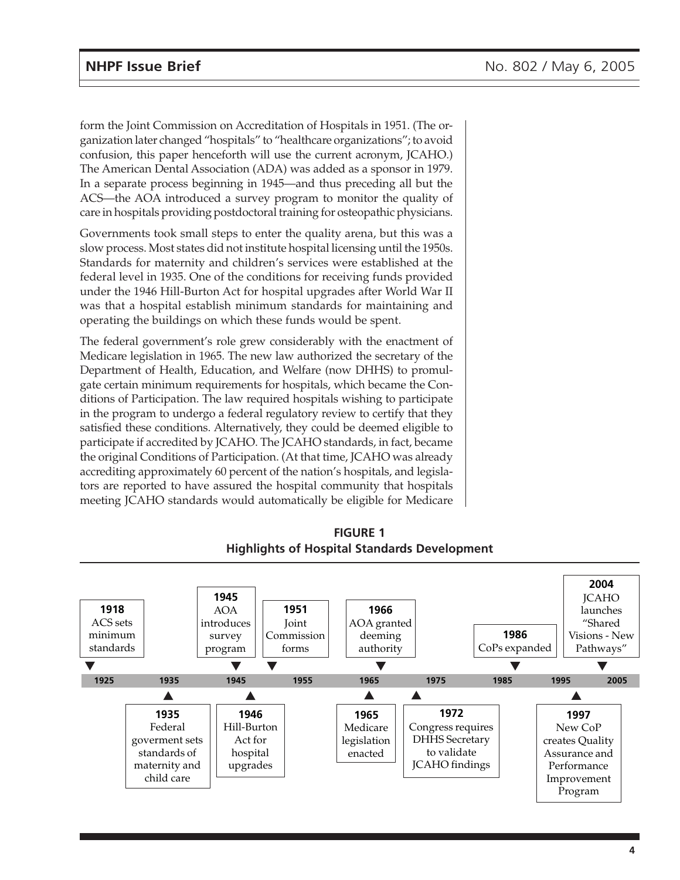form the Joint Commission on Accreditation of Hospitals in 1951. (The organization later changed "hospitals" to "healthcare organizations"; to avoid confusion, this paper henceforth will use the current acronym, JCAHO.) The American Dental Association (ADA) was added as a sponsor in 1979. In a separate process beginning in 1945—and thus preceding all but the ACS—the AOA introduced a survey program to monitor the quality of care in hospitals providing postdoctoral training for osteopathic physicians.

Governments took small steps to enter the quality arena, but this was a slow process. Most states did not institute hospital licensing until the 1950s. Standards for maternity and children's services were established at the federal level in 1935. One of the conditions for receiving funds provided under the 1946 Hill-Burton Act for hospital upgrades after World War II was that a hospital establish minimum standards for maintaining and operating the buildings on which these funds would be spent.

The federal government's role grew considerably with the enactment of Medicare legislation in 1965. The new law authorized the secretary of the Department of Health, Education, and Welfare (now DHHS) to promulgate certain minimum requirements for hospitals, which became the Conditions of Participation. The law required hospitals wishing to participate in the program to undergo a federal regulatory review to certify that they satisfied these conditions. Alternatively, they could be deemed eligible to participate if accredited by JCAHO. The JCAHO standards, in fact, became the original Conditions of Participation. (At that time, JCAHO was already accrediting approximately 60 percent of the nation's hospitals, and legislators are reported to have assured the hospital community that hospitals meeting JCAHO standards would automatically be eligible for Medicare



**FIGURE 1 Highlights of Hospital Standards Development**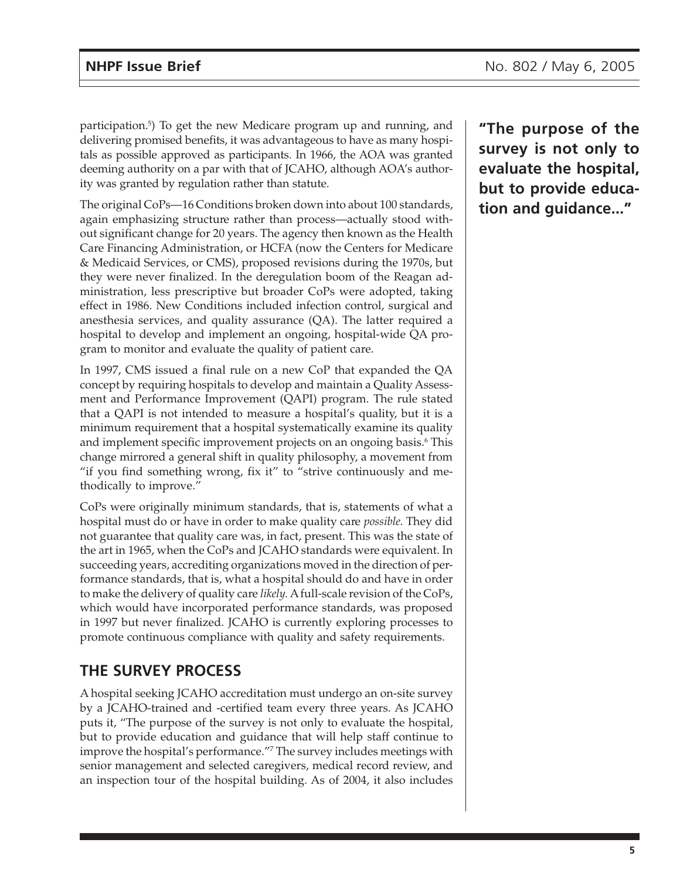participation.5 ) To get the new Medicare program up and running, and delivering promised benefits, it was advantageous to have as many hospitals as possible approved as participants. In 1966, the AOA was granted deeming authority on a par with that of JCAHO, although AOA's authority was granted by regulation rather than statute.

The original CoPs—16 Conditions broken down into about 100 standards, again emphasizing structure rather than process—actually stood without significant change for 20 years. The agency then known as the Health Care Financing Administration, or HCFA (now the Centers for Medicare & Medicaid Services, or CMS), proposed revisions during the 1970s, but they were never finalized. In the deregulation boom of the Reagan administration, less prescriptive but broader CoPs were adopted, taking effect in 1986. New Conditions included infection control, surgical and anesthesia services, and quality assurance (QA). The latter required a hospital to develop and implement an ongoing, hospital-wide QA program to monitor and evaluate the quality of patient care.

In 1997, CMS issued a final rule on a new CoP that expanded the QA concept by requiring hospitals to develop and maintain a Quality Assessment and Performance Improvement (QAPI) program. The rule stated that a QAPI is not intended to measure a hospital's quality, but it is a minimum requirement that a hospital systematically examine its quality and implement specific improvement projects on an ongoing basis.<sup>6</sup> This change mirrored a general shift in quality philosophy, a movement from "if you find something wrong, fix it" to "strive continuously and methodically to improve."

CoPs were originally minimum standards, that is, statements of what a hospital must do or have in order to make quality care *possible*. They did not guarantee that quality care was, in fact, present. This was the state of the art in 1965, when the CoPs and JCAHO standards were equivalent. In succeeding years, accrediting organizations moved in the direction of performance standards, that is, what a hospital should do and have in order to make the delivery of quality care *likely.* A full-scale revision of the CoPs, which would have incorporated performance standards, was proposed in 1997 but never finalized. JCAHO is currently exploring processes to promote continuous compliance with quality and safety requirements.

### **THE SURVEY PROCESS**

A hospital seeking JCAHO accreditation must undergo an on-site survey by a JCAHO-trained and -certified team every three years. As JCAHO puts it, "The purpose of the survey is not only to evaluate the hospital, but to provide education and guidance that will help staff continue to improve the hospital's performance."7 The survey includes meetings with senior management and selected caregivers, medical record review, and an inspection tour of the hospital building. As of 2004, it also includes

**"The purpose of the survey is not only to evaluate the hospital, but to provide education and guidance..."**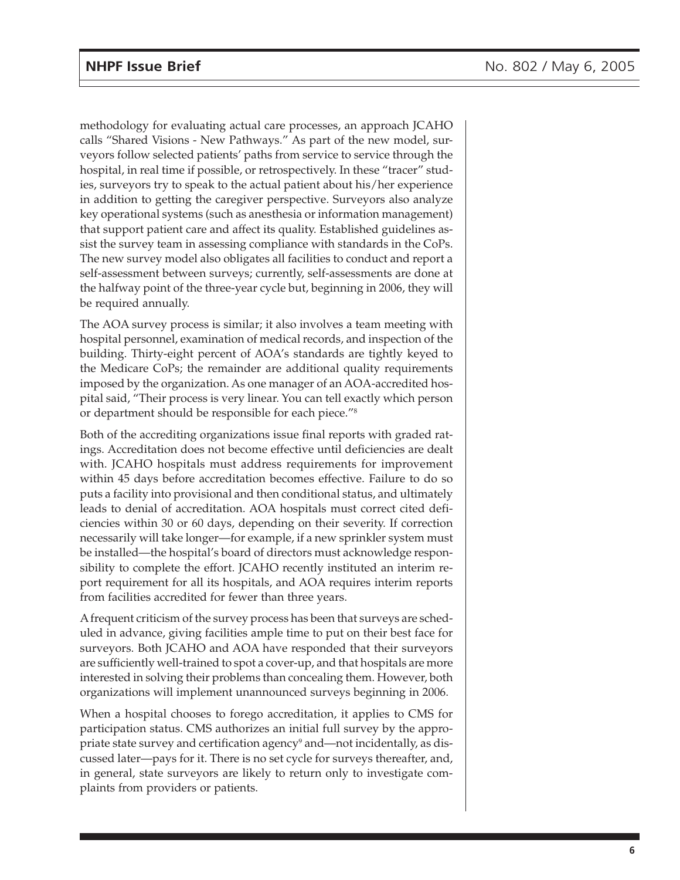methodology for evaluating actual care processes, an approach JCAHO calls "Shared Visions - New Pathways." As part of the new model, surveyors follow selected patients' paths from service to service through the hospital, in real time if possible, or retrospectively. In these "tracer" studies, surveyors try to speak to the actual patient about his/her experience in addition to getting the caregiver perspective. Surveyors also analyze key operational systems (such as anesthesia or information management) that support patient care and affect its quality. Established guidelines assist the survey team in assessing compliance with standards in the CoPs. The new survey model also obligates all facilities to conduct and report a self-assessment between surveys; currently, self-assessments are done at the halfway point of the three-year cycle but, beginning in 2006, they will be required annually.

The AOA survey process is similar; it also involves a team meeting with hospital personnel, examination of medical records, and inspection of the building. Thirty-eight percent of AOA's standards are tightly keyed to the Medicare CoPs; the remainder are additional quality requirements imposed by the organization. As one manager of an AOA-accredited hospital said, "Their process is very linear. You can tell exactly which person or department should be responsible for each piece."8

Both of the accrediting organizations issue final reports with graded ratings. Accreditation does not become effective until deficiencies are dealt with. JCAHO hospitals must address requirements for improvement within 45 days before accreditation becomes effective. Failure to do so puts a facility into provisional and then conditional status, and ultimately leads to denial of accreditation. AOA hospitals must correct cited deficiencies within 30 or 60 days, depending on their severity. If correction necessarily will take longer—for example, if a new sprinkler system must be installed—the hospital's board of directors must acknowledge responsibility to complete the effort. JCAHO recently instituted an interim report requirement for all its hospitals, and AOA requires interim reports from facilities accredited for fewer than three years.

A frequent criticism of the survey process has been that surveys are scheduled in advance, giving facilities ample time to put on their best face for surveyors. Both JCAHO and AOA have responded that their surveyors are sufficiently well-trained to spot a cover-up, and that hospitals are more interested in solving their problems than concealing them. However, both organizations will implement unannounced surveys beginning in 2006.

When a hospital chooses to forego accreditation, it applies to CMS for participation status. CMS authorizes an initial full survey by the appropriate state survey and certification agency $^{\circ}$  and—not incidentally, as discussed later—pays for it. There is no set cycle for surveys thereafter, and, in general, state surveyors are likely to return only to investigate complaints from providers or patients.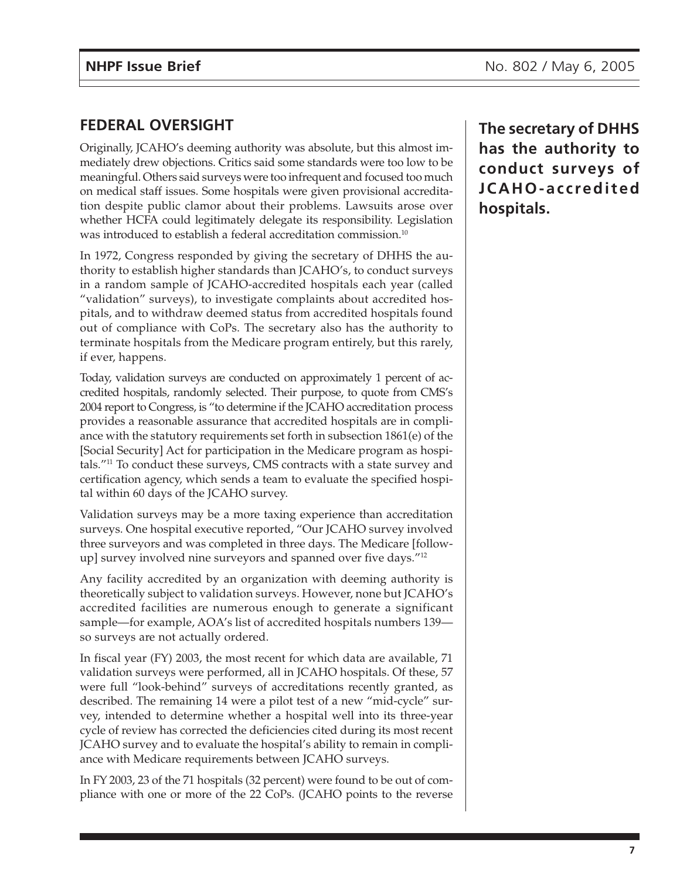#### **FEDERAL OVERSIGHT**

Originally, JCAHO's deeming authority was absolute, but this almost immediately drew objections. Critics said some standards were too low to be meaningful. Others said surveys were too infrequent and focused too much on medical staff issues. Some hospitals were given provisional accreditation despite public clamor about their problems. Lawsuits arose over whether HCFA could legitimately delegate its responsibility. Legislation was introduced to establish a federal accreditation commission.<sup>10</sup>

In 1972, Congress responded by giving the secretary of DHHS the authority to establish higher standards than JCAHO's, to conduct surveys in a random sample of JCAHO-accredited hospitals each year (called "validation" surveys), to investigate complaints about accredited hospitals, and to withdraw deemed status from accredited hospitals found out of compliance with CoPs. The secretary also has the authority to terminate hospitals from the Medicare program entirely, but this rarely, if ever, happens.

Today, validation surveys are conducted on approximately 1 percent of accredited hospitals, randomly selected. Their purpose, to quote from CMS's 2004 report to Congress, is "to determine if the JCAHO accreditation process provides a reasonable assurance that accredited hospitals are in compliance with the statutory requirements set forth in subsection 1861(e) of the [Social Security] Act for participation in the Medicare program as hospitals."11 To conduct these surveys, CMS contracts with a state survey and certification agency, which sends a team to evaluate the specified hospital within 60 days of the JCAHO survey.

Validation surveys may be a more taxing experience than accreditation surveys. One hospital executive reported, "Our JCAHO survey involved three surveyors and was completed in three days. The Medicare [followup] survey involved nine surveyors and spanned over five days."12

Any facility accredited by an organization with deeming authority is theoretically subject to validation surveys. However, none but JCAHO's accredited facilities are numerous enough to generate a significant sample—for example, AOA's list of accredited hospitals numbers 139 so surveys are not actually ordered.

In fiscal year (FY) 2003, the most recent for which data are available, 71 validation surveys were performed, all in JCAHO hospitals. Of these, 57 were full "look-behind" surveys of accreditations recently granted, as described. The remaining 14 were a pilot test of a new "mid-cycle" survey, intended to determine whether a hospital well into its three-year cycle of review has corrected the deficiencies cited during its most recent JCAHO survey and to evaluate the hospital's ability to remain in compliance with Medicare requirements between JCAHO surveys.

In FY 2003, 23 of the 71 hospitals (32 percent) were found to be out of compliance with one or more of the 22 CoPs. (JCAHO points to the reverse **The secretary of DHHS has the authority to conduct surveys of JCAHO-accredited hospitals.**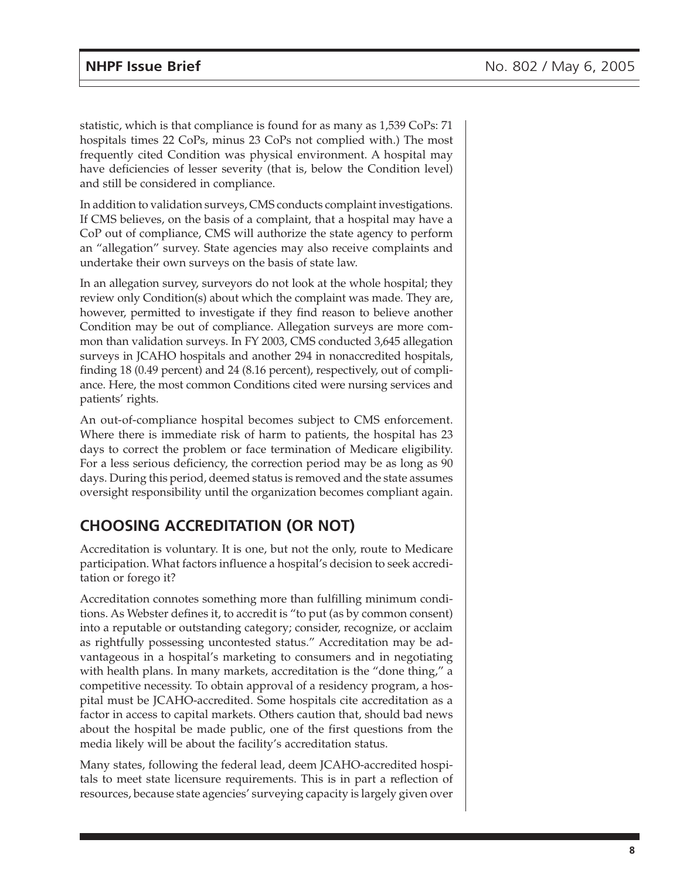statistic, which is that compliance is found for as many as 1,539 CoPs: 71 hospitals times 22 CoPs, minus 23 CoPs not complied with.) The most frequently cited Condition was physical environment. A hospital may have deficiencies of lesser severity (that is, below the Condition level) and still be considered in compliance.

In addition to validation surveys, CMS conducts complaint investigations. If CMS believes, on the basis of a complaint, that a hospital may have a CoP out of compliance, CMS will authorize the state agency to perform an "allegation" survey. State agencies may also receive complaints and undertake their own surveys on the basis of state law.

In an allegation survey, surveyors do not look at the whole hospital; they review only Condition(s) about which the complaint was made. They are, however, permitted to investigate if they find reason to believe another Condition may be out of compliance. Allegation surveys are more common than validation surveys. In FY 2003, CMS conducted 3,645 allegation surveys in JCAHO hospitals and another 294 in nonaccredited hospitals, finding 18 (0.49 percent) and 24 (8.16 percent), respectively, out of compliance. Here, the most common Conditions cited were nursing services and patients' rights.

An out-of-compliance hospital becomes subject to CMS enforcement. Where there is immediate risk of harm to patients, the hospital has 23 days to correct the problem or face termination of Medicare eligibility. For a less serious deficiency, the correction period may be as long as 90 days. During this period, deemed status is removed and the state assumes oversight responsibility until the organization becomes compliant again.

## **CHOOSING ACCREDITATION (OR NOT)**

Accreditation is voluntary. It is one, but not the only, route to Medicare participation. What factors influence a hospital's decision to seek accreditation or forego it?

Accreditation connotes something more than fulfilling minimum conditions. As Webster defines it, to accredit is "to put (as by common consent) into a reputable or outstanding category; consider, recognize, or acclaim as rightfully possessing uncontested status." Accreditation may be advantageous in a hospital's marketing to consumers and in negotiating with health plans. In many markets, accreditation is the "done thing," a competitive necessity. To obtain approval of a residency program, a hospital must be JCAHO-accredited. Some hospitals cite accreditation as a factor in access to capital markets. Others caution that, should bad news about the hospital be made public, one of the first questions from the media likely will be about the facility's accreditation status.

Many states, following the federal lead, deem JCAHO-accredited hospitals to meet state licensure requirements. This is in part a reflection of resources, because state agencies' surveying capacity is largely given over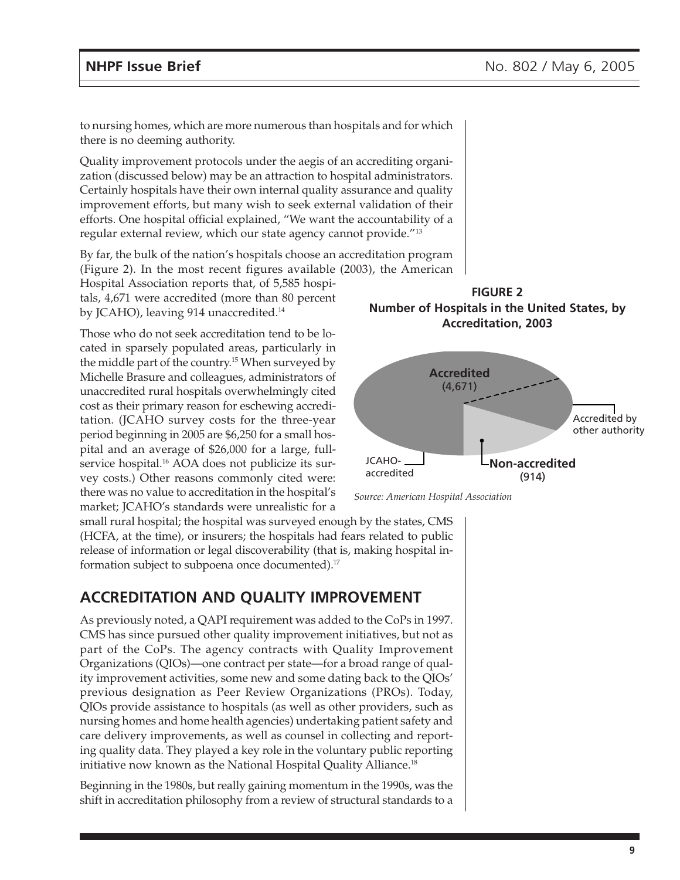to nursing homes, which are more numerous than hospitals and for which there is no deeming authority.

Quality improvement protocols under the aegis of an accrediting organization (discussed below) may be an attraction to hospital administrators. Certainly hospitals have their own internal quality assurance and quality improvement efforts, but many wish to seek external validation of their efforts. One hospital official explained, "We want the accountability of a regular external review, which our state agency cannot provide."13

By far, the bulk of the nation's hospitals choose an accreditation program (Figure 2). In the most recent figures available (2003), the American

Hospital Association reports that, of 5,585 hospitals, 4,671 were accredited (more than 80 percent by JCAHO), leaving 914 unaccredited.<sup>14</sup>

Those who do not seek accreditation tend to be located in sparsely populated areas, particularly in the middle part of the country.15 When surveyed by Michelle Brasure and colleagues, administrators of unaccredited rural hospitals overwhelmingly cited cost as their primary reason for eschewing accreditation. (JCAHO survey costs for the three-year period beginning in 2005 are \$6,250 for a small hospital and an average of \$26,000 for a large, fullservice hospital.<sup>16</sup> AOA does not publicize its survey costs.) Other reasons commonly cited were: there was no value to accreditation in the hospital's market; JCAHO's standards were unrealistic for a

formation subject to subpoena once documented).17

small rural hospital; the hospital was surveyed enough by the states, CMS (HCFA, at the time), or insurers; the hospitals had fears related to public release of information or legal discoverability (that is, making hospital in-

#### **ACCREDITATION AND QUALITY IMPROVEMENT**

As previously noted, a QAPI requirement was added to the CoPs in 1997. CMS has since pursued other quality improvement initiatives, but not as part of the CoPs. The agency contracts with Quality Improvement Organizations (QIOs)—one contract per state—for a broad range of quality improvement activities, some new and some dating back to the QIOs' previous designation as Peer Review Organizations (PROs). Today, QIOs provide assistance to hospitals (as well as other providers, such as nursing homes and home health agencies) undertaking patient safety and care delivery improvements, as well as counsel in collecting and reporting quality data. They played a key role in the voluntary public reporting initiative now known as the National Hospital Quality Alliance.18

Beginning in the 1980s, but really gaining momentum in the 1990s, was the shift in accreditation philosophy from a review of structural standards to a





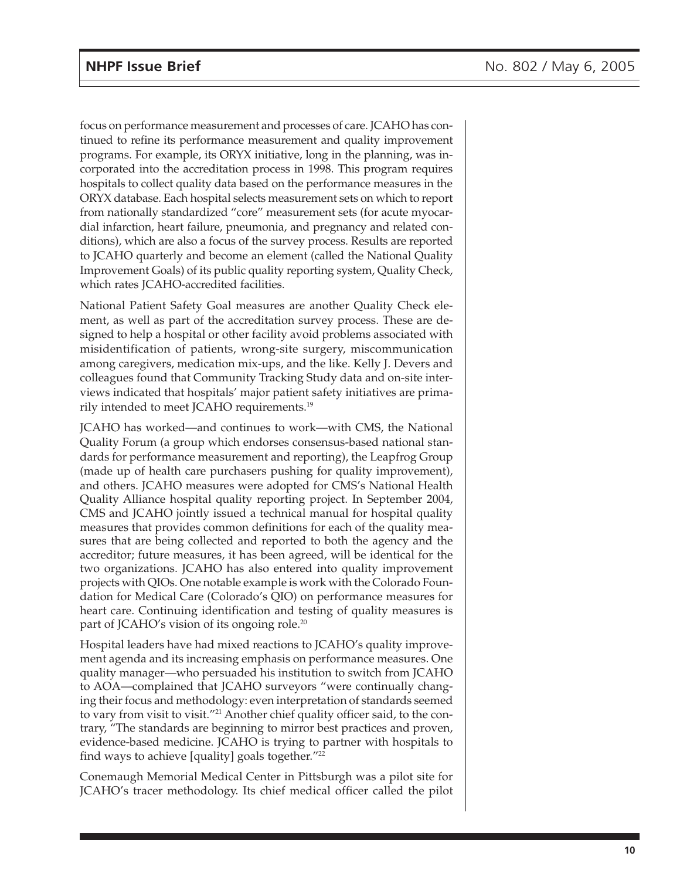focus on performance measurement and processes of care. JCAHO has continued to refine its performance measurement and quality improvement programs. For example, its ORYX initiative, long in the planning, was incorporated into the accreditation process in 1998. This program requires hospitals to collect quality data based on the performance measures in the ORYX database. Each hospital selects measurement sets on which to report from nationally standardized "core" measurement sets (for acute myocardial infarction, heart failure, pneumonia, and pregnancy and related conditions), which are also a focus of the survey process. Results are reported to JCAHO quarterly and become an element (called the National Quality Improvement Goals) of its public quality reporting system, Quality Check, which rates JCAHO-accredited facilities.

National Patient Safety Goal measures are another Quality Check element, as well as part of the accreditation survey process. These are designed to help a hospital or other facility avoid problems associated with misidentification of patients, wrong-site surgery, miscommunication among caregivers, medication mix-ups, and the like. Kelly J. Devers and colleagues found that Community Tracking Study data and on-site interviews indicated that hospitals' major patient safety initiatives are primarily intended to meet JCAHO requirements.19

JCAHO has worked—and continues to work—with CMS, the National Quality Forum (a group which endorses consensus-based national standards for performance measurement and reporting), the Leapfrog Group (made up of health care purchasers pushing for quality improvement), and others. JCAHO measures were adopted for CMS's National Health Quality Alliance hospital quality reporting project. In September 2004, CMS and JCAHO jointly issued a technical manual for hospital quality measures that provides common definitions for each of the quality measures that are being collected and reported to both the agency and the accreditor; future measures, it has been agreed, will be identical for the two organizations. JCAHO has also entered into quality improvement projects with QIOs. One notable example is work with the Colorado Foundation for Medical Care (Colorado's QIO) on performance measures for heart care. Continuing identification and testing of quality measures is part of JCAHO's vision of its ongoing role.<sup>20</sup>

Hospital leaders have had mixed reactions to JCAHO's quality improvement agenda and its increasing emphasis on performance measures. One quality manager—who persuaded his institution to switch from JCAHO to AOA—complained that JCAHO surveyors "were continually changing their focus and methodology: even interpretation of standards seemed to vary from visit to visit."21 Another chief quality officer said, to the contrary, "The standards are beginning to mirror best practices and proven, evidence-based medicine. JCAHO is trying to partner with hospitals to find ways to achieve [quality] goals together. $"^{22}$ 

Conemaugh Memorial Medical Center in Pittsburgh was a pilot site for JCAHO's tracer methodology. Its chief medical officer called the pilot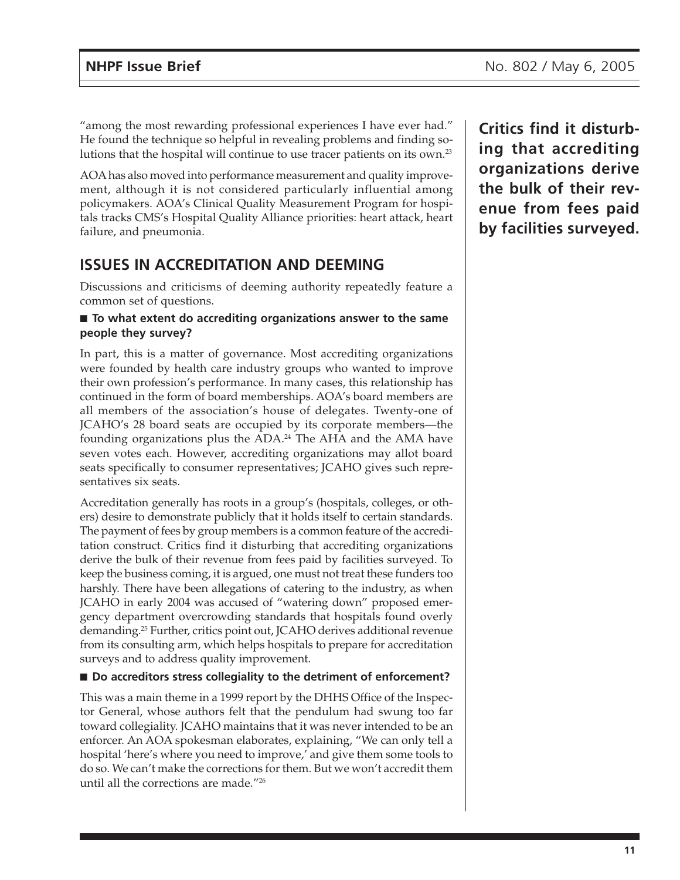"among the most rewarding professional experiences I have ever had." He found the technique so helpful in revealing problems and finding solutions that the hospital will continue to use tracer patients on its own.23

AOA has also moved into performance measurement and quality improvement, although it is not considered particularly influential among policymakers. AOA's Clinical Quality Measurement Program for hospitals tracks CMS's Hospital Quality Alliance priorities: heart attack, heart failure, and pneumonia.

### **ISSUES IN ACCREDITATION AND DEEMING**

Discussions and criticisms of deeming authority repeatedly feature a common set of questions.

#### ■ **To what extent do accrediting organizations answer to the same people they survey?**

In part, this is a matter of governance. Most accrediting organizations were founded by health care industry groups who wanted to improve their own profession's performance. In many cases, this relationship has continued in the form of board memberships. AOA's board members are all members of the association's house of delegates. Twenty-one of JCAHO's 28 board seats are occupied by its corporate members—the founding organizations plus the ADA.24 The AHA and the AMA have seven votes each. However, accrediting organizations may allot board seats specifically to consumer representatives; JCAHO gives such representatives six seats.

Accreditation generally has roots in a group's (hospitals, colleges, or others) desire to demonstrate publicly that it holds itself to certain standards. The payment of fees by group members is a common feature of the accreditation construct. Critics find it disturbing that accrediting organizations derive the bulk of their revenue from fees paid by facilities surveyed. To keep the business coming, it is argued, one must not treat these funders too harshly. There have been allegations of catering to the industry, as when JCAHO in early 2004 was accused of "watering down" proposed emergency department overcrowding standards that hospitals found overly demanding.25 Further, critics point out, JCAHO derives additional revenue from its consulting arm, which helps hospitals to prepare for accreditation surveys and to address quality improvement.

#### ■ **Do accreditors stress collegiality to the detriment of enforcement?**

This was a main theme in a 1999 report by the DHHS Office of the Inspector General, whose authors felt that the pendulum had swung too far toward collegiality. JCAHO maintains that it was never intended to be an enforcer. An AOA spokesman elaborates, explaining, "We can only tell a hospital 'here's where you need to improve,' and give them some tools to do so. We can't make the corrections for them. But we won't accredit them until all the corrections are made."26

**Critics find it disturbing that accrediting organizations derive the bulk of their revenue from fees paid by facilities surveyed.**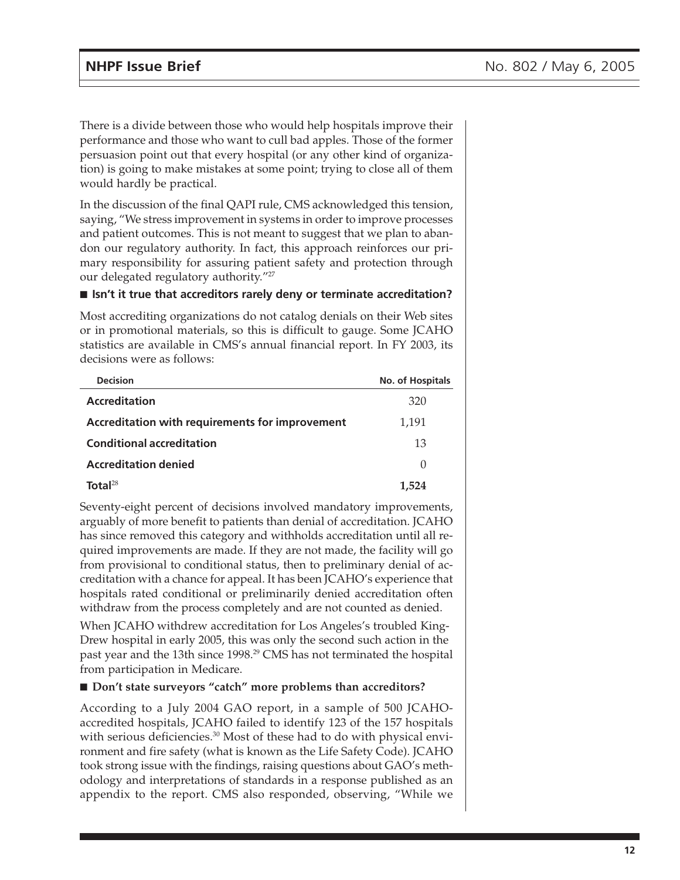There is a divide between those who would help hospitals improve their performance and those who want to cull bad apples. Those of the former persuasion point out that every hospital (or any other kind of organization) is going to make mistakes at some point; trying to close all of them would hardly be practical.

In the discussion of the final QAPI rule, CMS acknowledged this tension, saying, "We stress improvement in systems in order to improve processes and patient outcomes. This is not meant to suggest that we plan to abandon our regulatory authority. In fact, this approach reinforces our primary responsibility for assuring patient safety and protection through our delegated regulatory authority."<sup>27</sup>

#### ■ **Isn't it true that accreditors rarely deny or terminate accreditation?**

Most accrediting organizations do not catalog denials on their Web sites or in promotional materials, so this is difficult to gauge. Some JCAHO statistics are available in CMS's annual financial report. In FY 2003, its decisions were as follows:

| <b>Decision</b>                                 | <b>No. of Hospitals</b> |
|-------------------------------------------------|-------------------------|
| <b>Accreditation</b>                            | 320                     |
| Accreditation with requirements for improvement | 1,191                   |
| <b>Conditional accreditation</b>                | 13                      |
| <b>Accreditation denied</b>                     | $\left( \right)$        |
| Total $^{28}$                                   | 1.524                   |

Seventy-eight percent of decisions involved mandatory improvements, arguably of more benefit to patients than denial of accreditation. JCAHO has since removed this category and withholds accreditation until all required improvements are made. If they are not made, the facility will go from provisional to conditional status, then to preliminary denial of accreditation with a chance for appeal. It has been JCAHO's experience that hospitals rated conditional or preliminarily denied accreditation often withdraw from the process completely and are not counted as denied.

When JCAHO withdrew accreditation for Los Angeles's troubled King-Drew hospital in early 2005, this was only the second such action in the past year and the 13th since 1998.<sup>29</sup> CMS has not terminated the hospital from participation in Medicare.

#### ■ **Don't state surveyors "catch" more problems than accreditors?**

According to a July 2004 GAO report, in a sample of 500 JCAHOaccredited hospitals, JCAHO failed to identify 123 of the 157 hospitals with serious deficiencies.<sup>30</sup> Most of these had to do with physical environment and fire safety (what is known as the Life Safety Code). JCAHO took strong issue with the findings, raising questions about GAO's methodology and interpretations of standards in a response published as an appendix to the report. CMS also responded, observing, "While we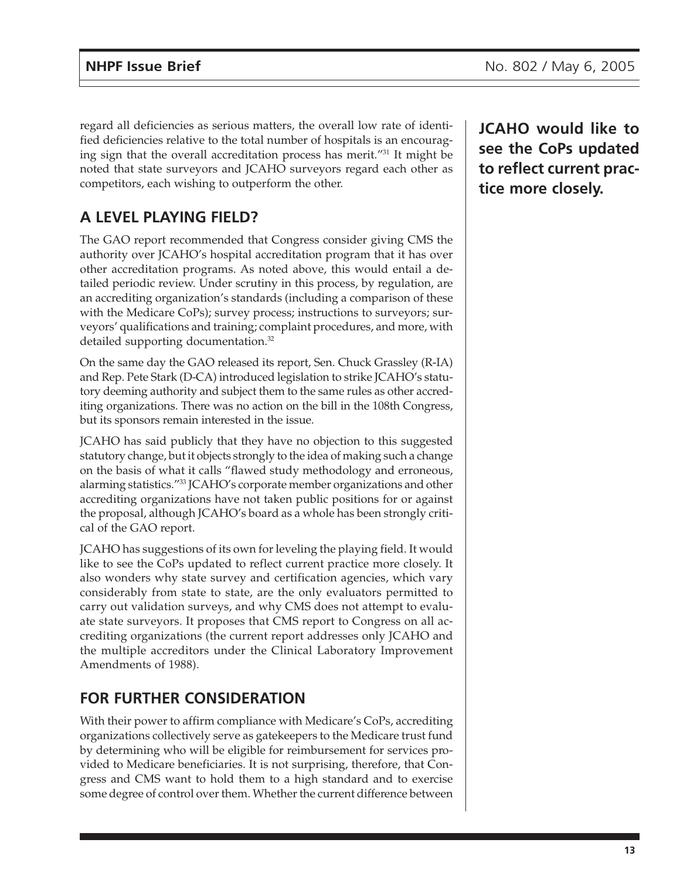regard all deficiencies as serious matters, the overall low rate of identified deficiencies relative to the total number of hospitals is an encouraging sign that the overall accreditation process has merit."<sup>31</sup> It might be noted that state surveyors and JCAHO surveyors regard each other as competitors, each wishing to outperform the other.

## **A LEVEL PLAYING FIELD?**

The GAO report recommended that Congress consider giving CMS the authority over JCAHO's hospital accreditation program that it has over other accreditation programs. As noted above, this would entail a detailed periodic review. Under scrutiny in this process, by regulation, are an accrediting organization's standards (including a comparison of these with the Medicare CoPs); survey process; instructions to surveyors; surveyors' qualifications and training; complaint procedures, and more, with detailed supporting documentation.<sup>32</sup>

On the same day the GAO released its report, Sen. Chuck Grassley (R-IA) and Rep. Pete Stark (D-CA) introduced legislation to strike JCAHO's statutory deeming authority and subject them to the same rules as other accrediting organizations. There was no action on the bill in the 108th Congress, but its sponsors remain interested in the issue.

JCAHO has said publicly that they have no objection to this suggested statutory change, but it objects strongly to the idea of making such a change on the basis of what it calls "flawed study methodology and erroneous, alarming statistics."33 JCAHO's corporate member organizations and other accrediting organizations have not taken public positions for or against the proposal, although JCAHO's board as a whole has been strongly critical of the GAO report.

JCAHO has suggestions of its own for leveling the playing field. It would like to see the CoPs updated to reflect current practice more closely. It also wonders why state survey and certification agencies, which vary considerably from state to state, are the only evaluators permitted to carry out validation surveys, and why CMS does not attempt to evaluate state surveyors. It proposes that CMS report to Congress on all accrediting organizations (the current report addresses only JCAHO and the multiple accreditors under the Clinical Laboratory Improvement Amendments of 1988).

## **FOR FURTHER CONSIDERATION**

With their power to affirm compliance with Medicare's CoPs, accrediting organizations collectively serve as gatekeepers to the Medicare trust fund by determining who will be eligible for reimbursement for services provided to Medicare beneficiaries. It is not surprising, therefore, that Congress and CMS want to hold them to a high standard and to exercise some degree of control over them. Whether the current difference between

**JCAHO would like to see the CoPs updated to reflect current practice more closely.**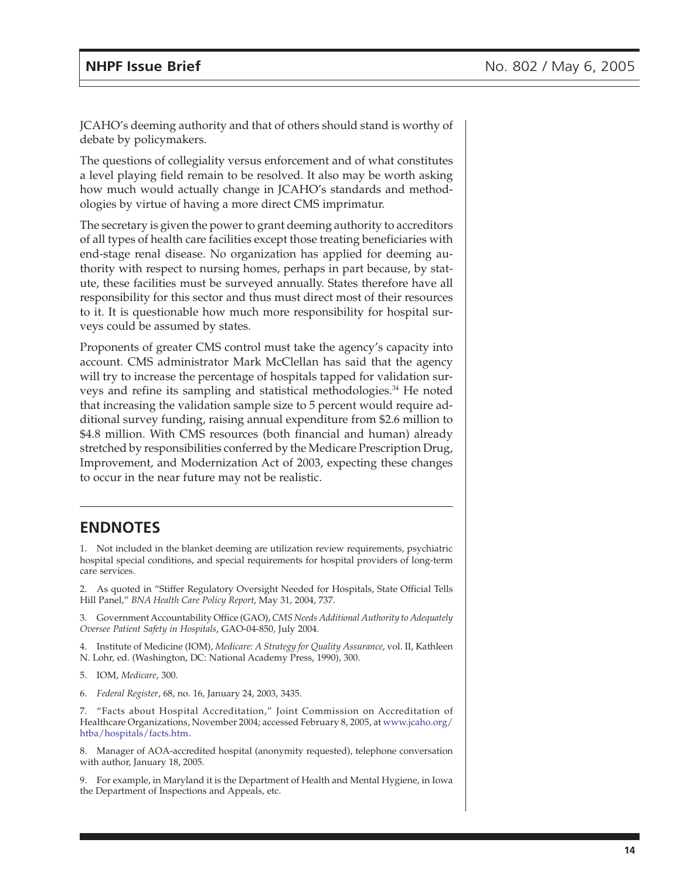JCAHO's deeming authority and that of others should stand is worthy of debate by policymakers.

The questions of collegiality versus enforcement and of what constitutes a level playing field remain to be resolved. It also may be worth asking how much would actually change in JCAHO's standards and methodologies by virtue of having a more direct CMS imprimatur.

The secretary is given the power to grant deeming authority to accreditors of all types of health care facilities except those treating beneficiaries with end-stage renal disease. No organization has applied for deeming authority with respect to nursing homes, perhaps in part because, by statute, these facilities must be surveyed annually. States therefore have all responsibility for this sector and thus must direct most of their resources to it. It is questionable how much more responsibility for hospital surveys could be assumed by states.

Proponents of greater CMS control must take the agency's capacity into account. CMS administrator Mark McClellan has said that the agency will try to increase the percentage of hospitals tapped for validation surveys and refine its sampling and statistical methodologies.<sup>34</sup> He noted that increasing the validation sample size to 5 percent would require additional survey funding, raising annual expenditure from \$2.6 million to \$4.8 million. With CMS resources (both financial and human) already stretched by responsibilities conferred by the Medicare Prescription Drug, Improvement, and Modernization Act of 2003, expecting these changes to occur in the near future may not be realistic.

#### **ENDNOTES**

1. Not included in the blanket deeming are utilization review requirements, psychiatric hospital special conditions, and special requirements for hospital providers of long-term care services.

2. As quoted in "Stiffer Regulatory Oversight Needed for Hospitals, State Official Tells Hill Panel," *BNA Health Care Policy Report*, May 31, 2004, 737.

3. Government Accountability Office (GAO), *CMS Needs Additional Authority to Adequately Oversee Patient Safety in Hospitals*, GAO-04-850, July 2004.

4. Institute of Medicine (IOM), *Medicare: A Strategy for Quality Assurance*, vol. II, Kathleen N. Lohr, ed. (Washington, DC: National Academy Press, 1990), 300.

- 5. IOM, *Medicare*, 300.
- 6. *Federal Register*, 68, no. 16, January 24, 2003, 3435.

7. "Facts about Hospital Accreditation," Joint Commission on Accreditation of Healthcare Organizations, November 2004; accessed February 8, 2005, a[t www.jcaho.org/](http://www.jcaho.org/htba/hospitals/facts.htm) htba/hospitals/facts.htm.

8. Manager of AOA-accredited hospital (anonymity requested), telephone conversation with author, January 18, 2005.

9. For example, in Maryland it is the Department of Health and Mental Hygiene, in Iowa the Department of Inspections and Appeals, etc.